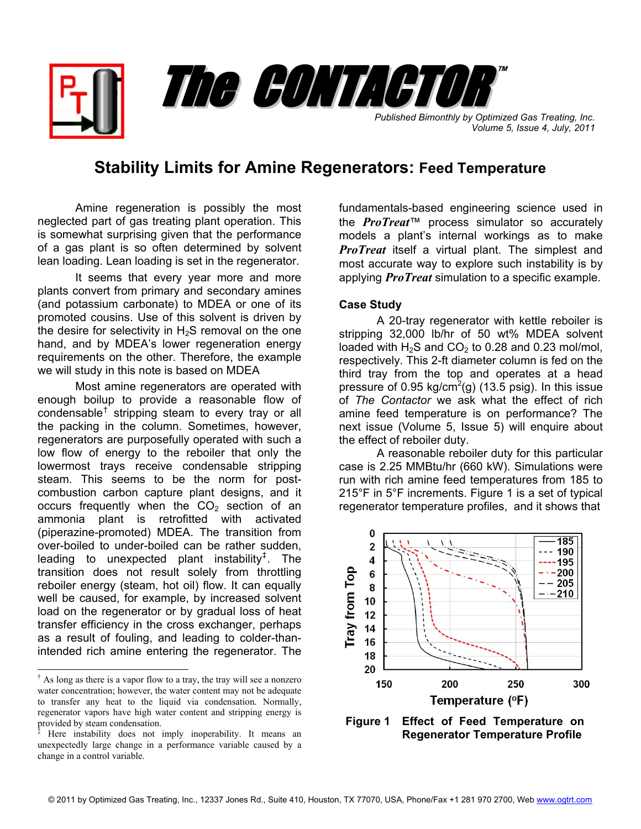*Published Bimonthly by Optimized Gas Treating, Inc. Volume 5, Issue 4, July, 2011*

™

## **Stability Limits for Amine Regenerators: Feed Temperature**

The CONTACTOR

Amine regeneration is possibly the most neglected part of gas treating plant operation. This is somewhat surprising given that the performance of a gas plant is so often determined by solvent lean loading. Lean loading is set in the regenerator.

It seems that every year more and more plants convert from primary and secondary amines (and potassium carbonate) to MDEA or one of its promoted cousins. Use of this solvent is driven by the desire for selectivity in  $H_2S$  removal on the one hand, and by MDEA's lower regeneration energy requirements on the other. Therefore, the example we will study in this note is based on MDEA

Most amine regenerators are operated with enough boilup to provide a reasonable flow of condensable<sup>[†](#page-0-0)</sup> stripping steam to every tray or all the packing in the column. Sometimes, however, regenerators are purposefully operated with such a low flow of energy to the reboiler that only the lowermost trays receive condensable stripping steam. This seems to be the norm for postcombustion carbon capture plant designs, and it occurs frequently when the  $CO<sub>2</sub>$  section of an ammonia plant is retrofitted with activated (piperazine-promoted) MDEA. The transition from over-boiled to under-boiled can be rather sudden, leading to unexpected plant instability<sup>[‡](#page-0-1)</sup>. The transition does not result solely from throttling reboiler energy (steam, hot oil) flow. It can equally well be caused, for example, by increased solvent load on the regenerator or by gradual loss of heat transfer efficiency in the cross exchanger, perhaps as a result of fouling, and leading to colder-thanintended rich amine entering the regenerator. The

 $\overline{\phantom{a}}$ 

fundamentals-based engineering science used in the *ProTreat*™ process simulator so accurately models a plant's internal workings as to make *ProTreat* itself a virtual plant. The simplest and most accurate way to explore such instability is by applying *ProTreat* simulation to a specific example.

## **Case Study**

 A 20-tray regenerator with kettle reboiler is stripping 32,000 lb/hr of 50 wt% MDEA solvent loaded with  $H_2S$  and  $CO_2$  to 0.28 and 0.23 mol/mol, respectively. This 2-ft diameter column is fed on the third tray from the top and operates at a head pressure of 0.95 kg/cm<sup>2</sup>(g) (13.5 psig). In this issue of *The Contactor* we ask what the effect of rich amine feed temperature is on performance? The next issue (Volume 5, Issue 5) will enquire about the effect of reboiler duty.

 A reasonable reboiler duty for this particular case is 2.25 MMBtu/hr (660 kW). Simulations were run with rich amine feed temperatures from 185 to 215°F in 5°F increments. Figure 1 is a set of typical regenerator temperature profiles, and it shows that



**Figure 1 Effect of Feed Temperature on Regenerator Temperature Profile**

<span id="page-0-0"></span><sup>†</sup> As long as there is a vapor flow to a tray, the tray will see a nonzero water concentration; however, the water content may not be adequate to transfer any heat to the liquid via condensation. Normally, regenerator vapors have high water content and stripping energy is provided by steam condensation.

<span id="page-0-1"></span><sup>‡</sup> Here instability does not imply inoperability. It means an unexpectedly large change in a performance variable caused by a change in a control variable.